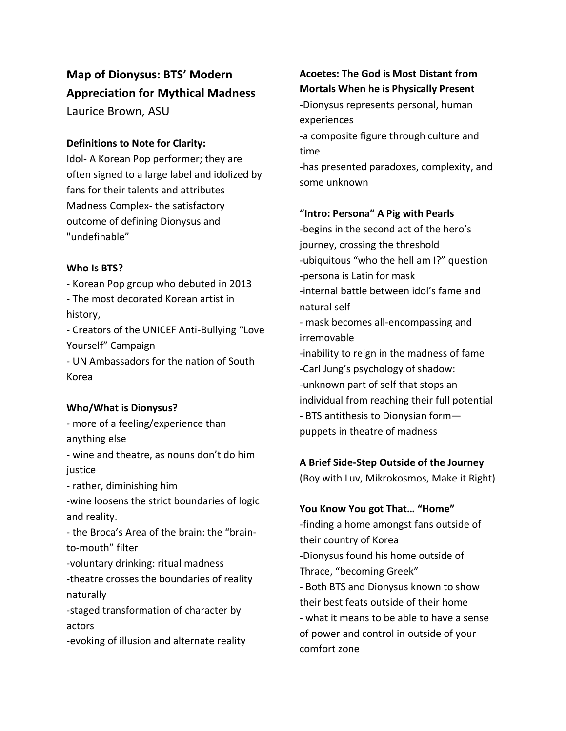# **Map of Dionysus: BTS' Modern Appreciation for Mythical Madness**

Laurice Brown, ASU

### **Definitions to Note for Clarity:**

Idol- A Korean Pop performer; they are often signed to a large label and idolized by fans for their talents and attributes Madness Complex- the satisfactory outcome of defining Dionysus and "undefinable"

### **Who Is BTS?**

- Korean Pop group who debuted in 2013

- The most decorated Korean artist in history,

- Creators of the UNICEF Anti-Bullying "Love Yourself" Campaign

- UN Ambassadors for the nation of South Korea

### **Who/What is Dionysus?**

- more of a feeling/experience than anything else

- wine and theatre, as nouns don't do him justice

- rather, diminishing him

-wine loosens the strict boundaries of logic and reality.

- the Broca's Area of the brain: the "brainto-mouth" filter

-voluntary drinking: ritual madness

-theatre crosses the boundaries of reality naturally

-staged transformation of character by actors

-evoking of illusion and alternate reality

# **Acoetes: The God is Most Distant from Mortals When he is Physically Present**

-Dionysus represents personal, human experiences

-a composite figure through culture and time

-has presented paradoxes, complexity, and some unknown

### **"Intro: Persona" A Pig with Pearls**

-begins in the second act of the hero's journey, crossing the threshold -ubiquitous "who the hell am I?" question -persona is Latin for mask -internal battle between idol's fame and natural self

- mask becomes all-encompassing and irremovable

-inability to reign in the madness of fame -Carl Jung's psychology of shadow: -unknown part of self that stops an individual from reaching their full potential - BTS antithesis to Dionysian form—

puppets in theatre of madness

## **A Brief Side-Step Outside of the Journey**

(Boy with Luv, Mikrokosmos, Make it Right)

**You Know You got That… "Home"**

-finding a home amongst fans outside of their country of Korea -Dionysus found his home outside of Thrace, "becoming Greek" - Both BTS and Dionysus known to show their best feats outside of their home - what it means to be able to have a sense of power and control in outside of your comfort zone